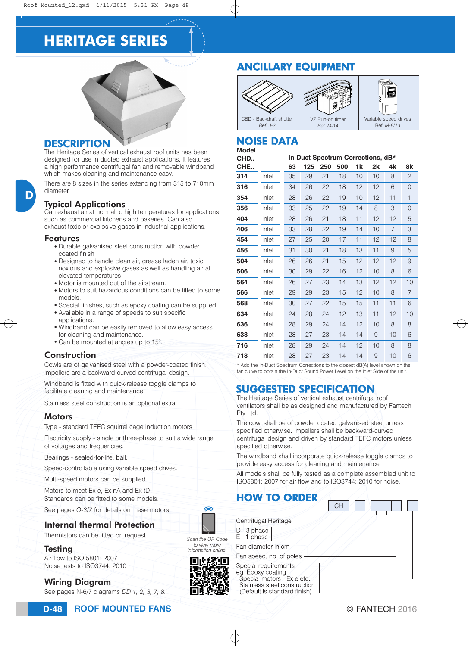# **HERITAGE SERIES**



#### **DESCRIPTION**

The Heritage Series of vertical exhaust roof units has been designed for use in ducted exhaust applications. It features a high performance centrifugal fan and removable windband which makes cleaning and maintenance easy.

There are 8 sizes in the series extending from 315 to 710mm diameter.

#### Typical Applications

Can exhaust air at normal to high temperatures for applications such as commercial kitchens and bakeries. Can also exhaust toxic or explosive gases in industrial applications.

#### Features

- Durable galvanised steel construction with powder coated finish.
- Designed to handle clean air, grease laden air, toxic noxious and explosive gases as well as handling air at elevated temperatures.
- Motor is mounted out of the airstream.
- Motors to suit hazardous conditions can be fitted to some models.
- Special finishes, such as epoxy coating can be supplied.
- Available in a range of speeds to suit specific applications.
- Windband can be easily removed to allow easy access for cleaning and maintenance.
- Can be mounted at angles up to 15°.

#### **Construction**

Cowls are of galvanised steel with a powder-coated finish. Impellers are a backward-curved centrifugal design.

Windband is fitted with quick-release toggle clamps to facilitate cleaning and maintenance.

Stainless steel construction is an optional extra.

#### **Motors**

Type - standard TEFC squirrel cage induction motors.

Electricity supply - single or three-phase to suit a wide range of voltages and frequencies.

Bearings - sealed-for-life, ball.

Speed-controllable using variable speed drives.

Multi-speed motors can be supplied.

Motors to meet Ex e, Ex nA and Ex tD Standards can be fitted to some models.

See pages *O-3*/*7* for details on these motors.

#### Internal thermal Protection

Thermistors can be fitted on request

#### **Testing**

Air flow to ISO 5801: 2007 Noise tests to ISO3744: 2010

### Wiring Diagram

See pages N-6/7 diagrams *DD 1, 2, 3, 7, 8.*

#### **ROOF MOUNTED FANS D-48** © FANTECH 2016

## ANCILLARY EQUIPMENT



#### **Model** NOISE DATA

| moaci |       |                                   |     |     |     |    |    |                |    |
|-------|-------|-----------------------------------|-----|-----|-----|----|----|----------------|----|
| CHD   |       | In-Duct Spectrum Corrections, dB* |     |     |     |    |    |                |    |
| CHE   |       | 63                                | 125 | 250 | 500 | 1k | 2k | 4k             | 8k |
| 314   | Inlet | 35                                | 29  | 21  | 18  | 10 | 10 | 8              | 2  |
| 316   | Inlet | 34                                | 26  | 22  | 18  | 12 | 12 | 6              | 0  |
| 354   | Inlet | 28                                | 26  | 22  | 19  | 10 | 12 | 11             | 1  |
| 356   | Inlet | 33                                | 25  | 22  | 19  | 14 | 8  | 3              | 0  |
| 404   | Inlet | 28                                | 26  | 21  | 18  | 11 | 12 | 12             | 5  |
| 406   | Inlet | 33                                | 28  | 22  | 19  | 14 | 10 | $\overline{7}$ | 3  |
| 454   | Inlet | 27                                | 25  | 20  | 17  | 11 | 12 | 12             | 8  |
| 456   | Inlet | 31                                | 30  | 21  | 18  | 13 | 11 | 9              | 5  |
| 504   | Inlet | 26                                | 26  | 21  | 15  | 12 | 12 | 12             | 9  |
| 506   | Inlet | 30                                | 29  | 22  | 16  | 12 | 10 | 8              | 6  |
| 564   | Inlet | 26                                | 27  | 23  | 14  | 13 | 12 | 12             | 10 |
| 566   | Inlet | 29                                | 29  | 23  | 15  | 12 | 10 | 8              | 7  |
| 568   | Inlet | 30                                | 27  | 22  | 15  | 15 | 11 | 11             | 6  |
| 634   | Inlet | 24                                | 28  | 24  | 12  | 13 | 11 | 12             | 10 |
| 636   | Inlet | 28                                | 29  | 24  | 14  | 12 | 10 | 8              | 8  |
| 638   | Inlet | 28                                | 27  | 23  | 14  | 14 | 9  | 10             | 6  |
| 716   | Inlet | 28                                | 29  | 24  | 14  | 12 | 10 | 8              | 8  |
| 718   | Inlet | 28                                | 27  | 23  | 14  | 14 | 9  | 10             | 6  |

\* Add the In-Duct Spectrum Corrections to the closest dB(A) level shown on the fan curve to obtain the In-Duct Sound Power Level on the Inlet Side of the unit.

## SUGGESTED SPECIFICATION

The Heritage Series of vertical exhaust centrifugal roof ventilators shall be as designed and manufactured by Fantech Pty Ltd.

The cowl shall be of powder coated galvanised steel unless specified otherwise. Impellers shall be backward-curved centrifugal design and driven by standard TEFC motors unless specified otherwise.

The windband shall incorporate quick-release toggle clamps to provide easy access for cleaning and maintenance.

All models shall be fully tested as a complete assembled unit to ISO5801: 2007 for air flow and to ISO3744: 2010 for noise.

### HOW TO ORDER

| Centrifugal Heritage                                                                                                                    |  |
|-----------------------------------------------------------------------------------------------------------------------------------------|--|
| D - 3 phase<br>$E - 1$ phase                                                                                                            |  |
| Fan diameter in cm                                                                                                                      |  |
| Fan speed, no of poles                                                                                                                  |  |
| Special requirements<br>eg. Epoxy coating<br>Special motors - Ex e etc.<br>Stainless steel construction<br>(Default is standard finish) |  |



*Scan the QR Code to view more information online.*